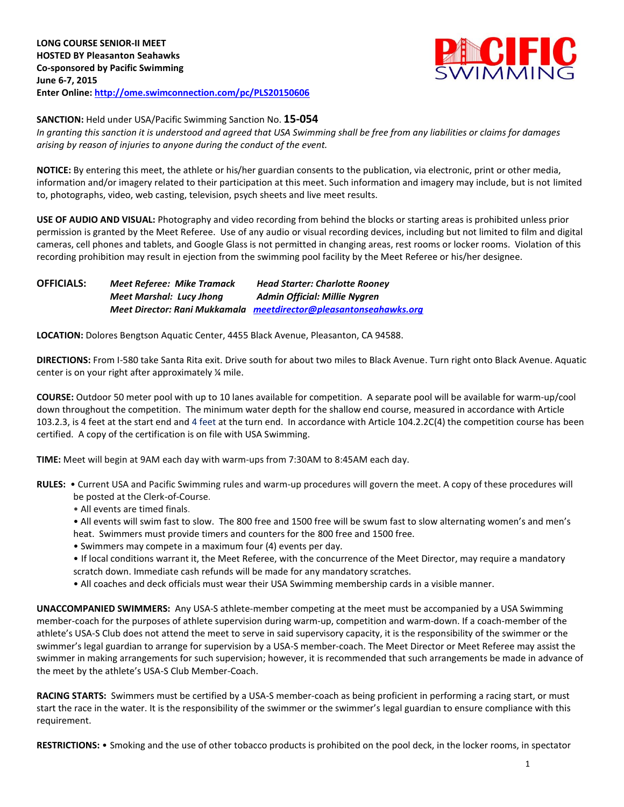

**SANCTION:** Held under USA/Pacific Swimming Sanction No. **15-054**

*In granting this sanction it is understood and agreed that USA Swimming shall be free from any liabilities or claims for damages arising by reason of injuries to anyone during the conduct of the event.*

**NOTICE:** By entering this meet, the athlete or his/her guardian consents to the publication, via electronic, print or other media, information and/or imagery related to their participation at this meet. Such information and imagery may include, but is not limited to, photographs, video, web casting, television, psych sheets and live meet results.

**USE OF AUDIO AND VISUAL:** Photography and video recording from behind the blocks or starting areas is prohibited unless prior permission is granted by the Meet Referee. Use of any audio or visual recording devices, including but not limited to film and digital cameras, cell phones and tablets, and Google Glass is not permitted in changing areas, rest rooms or locker rooms. Violation of this recording prohibition may result in ejection from the swimming pool facility by the Meet Referee or his/her designee.

**OFFICIALS:** *Meet Referee: Mike Tramack Head Starter: Charlotte Rooney Meet Marshal: Lucy Jhong Admin Official: Millie Nygren Meet Director: Rani Mukkamala [meetdirector@pleasantonseahawks.org](mailto:meetdirector@pleasantonseahawks.org)*

**LOCATION:** Dolores Bengtson Aquatic Center, 4455 Black Avenue, Pleasanton, CA 94588.

**DIRECTIONS:** From I-580 take Santa Rita exit. Drive south for about two miles to Black Avenue. Turn right onto Black Avenue. Aquatic center is on your right after approximately ¼ mile.

**COURSE:** Outdoor 50 meter pool with up to 10 lanes available for competition. A separate pool will be available for warm-up/cool down throughout the competition. The minimum water depth for the shallow end course, measured in accordance with Article 103.2.3, is 4 feet at the start end and 4 feet at the turn end. In accordance with Article 104.2.2C(4) the competition course has been certified. A copy of the certification is on file with USA Swimming.

**TIME:** Meet will begin at 9AM each day with warm-ups from 7:30AM to 8:45AM each day.

- **RULES:** Current USA and Pacific Swimming rules and warm-up procedures will govern the meet. A copy of these procedures will be posted at the Clerk-of-Course.
	- All events are timed finals.

• All events will swim fast to slow. The 800 free and 1500 free will be swum fast to slow alternating women's and men's heat. Swimmers must provide timers and counters for the 800 free and 1500 free.

- Swimmers may compete in a maximum four (4) events per day.
- If local conditions warrant it, the Meet Referee, with the concurrence of the Meet Director, may require a mandatory
- scratch down. Immediate cash refunds will be made for any mandatory scratches.
- All coaches and deck officials must wear their USA Swimming membership cards in a visible manner.

**UNACCOMPANIED SWIMMERS:** Any USA-S athlete-member competing at the meet must be accompanied by a USA Swimming member-coach for the purposes of athlete supervision during warm-up, competition and warm-down. If a coach-member of the athlete's USA-S Club does not attend the meet to serve in said supervisory capacity, it is the responsibility of the swimmer or the swimmer's legal guardian to arrange for supervision by a USA-S member-coach. The Meet Director or Meet Referee may assist the swimmer in making arrangements for such supervision; however, it is recommended that such arrangements be made in advance of the meet by the athlete's USA-S Club Member-Coach.

**RACING STARTS:** Swimmers must be certified by a USA-S member-coach as being proficient in performing a racing start, or must start the race in the water. It is the responsibility of the swimmer or the swimmer's legal guardian to ensure compliance with this requirement.

**RESTRICTIONS:** • Smoking and the use of other tobacco products is prohibited on the pool deck, in the locker rooms, in spectator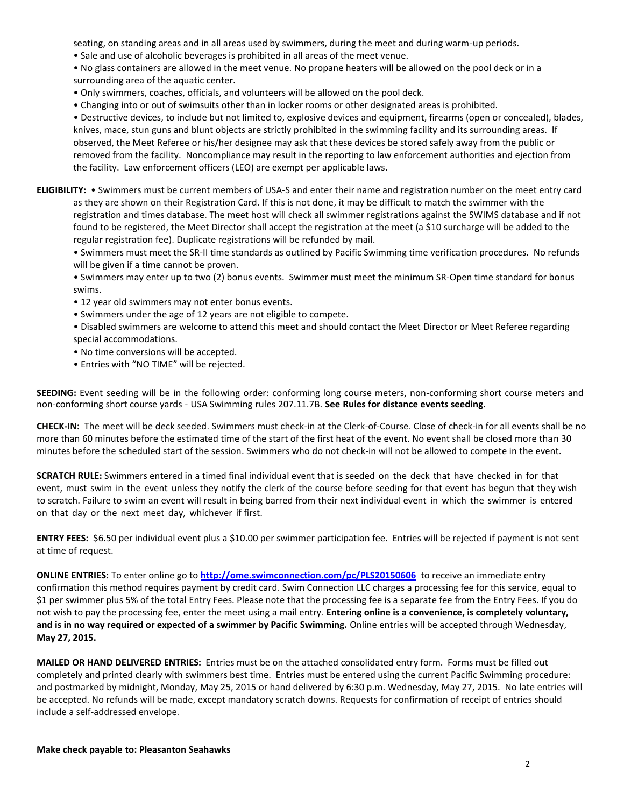seating, on standing areas and in all areas used by swimmers, during the meet and during warm-up periods.

• Sale and use of alcoholic beverages is prohibited in all areas of the meet venue.

• No glass containers are allowed in the meet venue. No propane heaters will be allowed on the pool deck or in a surrounding area of the aquatic center.

- Only swimmers, coaches, officials, and volunteers will be allowed on the pool deck.
- Changing into or out of swimsuits other than in locker rooms or other designated areas is prohibited.

• Destructive devices, to include but not limited to, explosive devices and equipment, firearms (open or concealed), blades, knives, mace, stun guns and blunt objects are strictly prohibited in the swimming facility and its surrounding areas. If observed, the Meet Referee or his/her designee may ask that these devices be stored safely away from the public or removed from the facility. Noncompliance may result in the reporting to law enforcement authorities and ejection from the facility. Law enforcement officers (LEO) are exempt per applicable laws.

**ELIGIBILITY:** • Swimmers must be current members of USA-S and enter their name and registration number on the meet entry card as they are shown on their Registration Card. If this is not done, it may be difficult to match the swimmer with the registration and times database. The meet host will check all swimmer registrations against the SWIMS database and if not found to be registered, the Meet Director shall accept the registration at the meet (a \$10 surcharge will be added to the regular registration fee). Duplicate registrations will be refunded by mail.

• Swimmers must meet the SR-II time standards as outlined by Pacific Swimming time verification procedures. No refunds will be given if a time cannot be proven.

• Swimmers may enter up to two (2) bonus events. Swimmer must meet the minimum SR-Open time standard for bonus swims.

- 12 year old swimmers may not enter bonus events.
- Swimmers under the age of 12 years are not eligible to compete.
- Disabled swimmers are welcome to attend this meet and should contact the Meet Director or Meet Referee regarding special accommodations.
- No time conversions will be accepted.
- Entries with "NO TIME" will be rejected.

**SEEDING:** Event seeding will be in the following order: conforming long course meters, non-conforming short course meters and non-conforming short course yards - USA Swimming rules 207.11.7B. **See Rules for distance events seeding**.

**CHECK-IN:** The meet will be deck seeded. Swimmers must check-in at the Clerk-of-Course. Close of check‐in for all events shall be no more than 60 minutes before the estimated time of the start of the first heat of the event. No event shall be closed more than 30 minutes before the scheduled start of the session. Swimmers who do not check-in will not be allowed to compete in the event.

**SCRATCH RULE:** Swimmers entered in a timed final individual event that is seeded on the deck that have checked in for that event, must swim in the event unless they notify the clerk of the course before seeding for that event has begun that they wish to scratch. Failure to swim an event will result in being barred from their next individual event in which the swimmer is entered on that day or the next meet day, whichever if first.

**ENTRY FEES:** \$6.50 per individual event plus a \$10.00 per swimmer participation fee. Entries will be rejected if payment is not sent at time of request.

**ONLINE ENTRIES:** To enter online go to **<http://ome.swimconnection.com/pc/PLS20150606>** to receive an immediate entry confirmation this method requires payment by credit card. Swim Connection LLC charges a processing fee for this service, equal to \$1 per swimmer plus 5% of the total Entry Fees. Please note that the processing fee is a separate fee from the Entry Fees. If you do not wish to pay the processing fee, enter the meet using a mail entry. **Entering online is a convenience, is completely voluntary, and is in no way required or expected of a swimmer by Pacific Swimming.** Online entries will be accepted through Wednesday, **May 27, 2015.**

**MAILED OR HAND DELIVERED ENTRIES:** Entries must be on the attached consolidated entry form. Forms must be filled out completely and printed clearly with swimmers best time. Entries must be entered using the current Pacific Swimming procedure: and postmarked by midnight, Monday, May 25, 2015 or hand delivered by 6:30 p.m. Wednesday, May 27, 2015. No late entries will be accepted. No refunds will be made, except mandatory scratch downs. Requests for confirmation of receipt of entries should include a self-addressed envelope.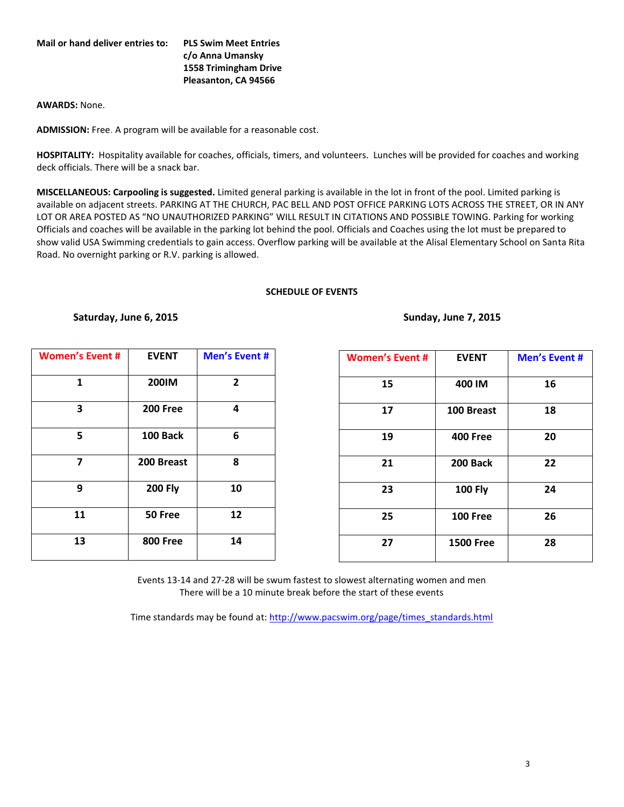## **Mail or hand deliver entries to: PLS Swim Meet Entries**

**c/o Anna Umansky 1558 Trimingham Drive Pleasanton, CA 94566**

## **AWARDS:** None.

**ADMISSION:** Free. A program will be available for a reasonable cost.

**HOSPITALITY:** Hospitality available for coaches, officials, timers, and volunteers. Lunches will be provided for coaches and working deck officials. There will be a snack bar.

**MISCELLANEOUS: Carpooling is suggested.** Limited general parking is available in the lot in front of the pool. Limited parking is available on adjacent streets. PARKING AT THE CHURCH, PAC BELL AND POST OFFICE PARKING LOTS ACROSS THE STREET, OR IN ANY LOT OR AREA POSTED AS "NO UNAUTHORIZED PARKING" WILL RESULT IN CITATIONS AND POSSIBLE TOWING. Parking for working Officials and coaches will be available in the parking lot behind the pool. Officials and Coaches using the lot must be prepared to show valid USA Swimming credentials to gain access. Overflow parking will be available at the Alisal Elementary School on Santa Rita Road. No overnight parking or R.V. parking is allowed.

## **SCHEDULE OF EVENTS**

**Saturday, June 6, 2015 Sunday, June 7, 2015**

| <b>Women's Event #</b> | <b>EVENT</b>    | <b>Men's Event #</b> |  |  |  |  |
|------------------------|-----------------|----------------------|--|--|--|--|
| 1                      | 200IM           | $\overline{2}$       |  |  |  |  |
| 3                      | <b>200 Free</b> | 4                    |  |  |  |  |
| 5                      | 100 Back        | 6                    |  |  |  |  |
| 7                      | 200 Breast      | 8                    |  |  |  |  |
| 9                      | <b>200 Fly</b>  | 10                   |  |  |  |  |
| 11                     | 50 Free         | 12                   |  |  |  |  |
| 13                     | <b>800 Free</b> | 14                   |  |  |  |  |

| <b>Women's Event #</b> | <b>EVENT</b>     | <b>Men's Event #</b> |  |  |  |  |
|------------------------|------------------|----------------------|--|--|--|--|
| 15                     | 400 IM           | 16                   |  |  |  |  |
| 17                     | 100 Breast       | 18                   |  |  |  |  |
| 19                     | <b>400 Free</b>  | 20                   |  |  |  |  |
| 21                     | 200 Back         | 22                   |  |  |  |  |
| 23                     | <b>100 Fly</b>   | 24                   |  |  |  |  |
| 25                     | <b>100 Free</b>  | 26                   |  |  |  |  |
| 27                     | <b>1500 Free</b> | 28                   |  |  |  |  |

Events 13-14 and 27-28 will be swum fastest to slowest alternating women and men There will be a 10 minute break before the start of these events

Time standards may be found at[: http://www.pacswim.org/page/times\\_standards.html](http://www.pacswim.org/page/times_standards.html)